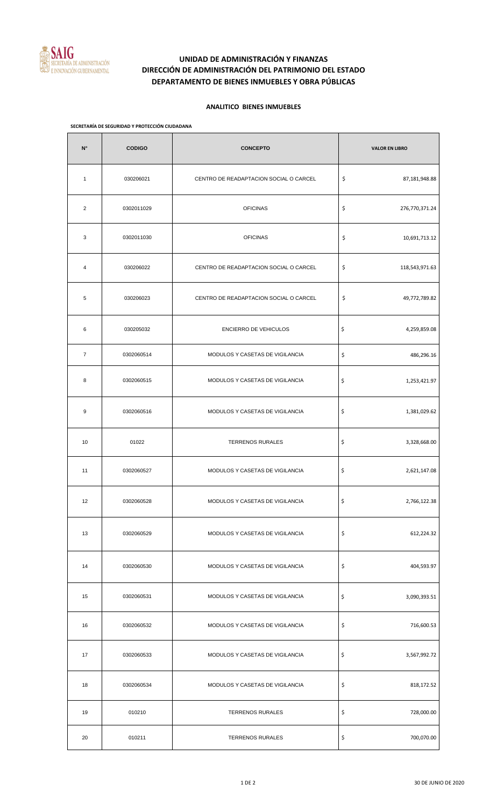

# **UNIDAD DE ADMINISTRACIÓN Y FINANZAS DIRECCIÓN DE ADMINISTRACIÓN DEL PATRIMONIO DEL ESTADO DEPARTAMENTO DE BIENES INMUEBLES Y OBRA PÚBLICAS**

### **ANALITICO BIENES INMUEBLES**

#### **SECRETARÍA DE SEGURIDAD Y PROTECCIÓN CIUDADANA**

| $\mathsf{N}^\circ$ | <b>CODIGO</b> | <b>CONCEPTO</b>                        | <b>VALOR EN LIBRO</b> |
|--------------------|---------------|----------------------------------------|-----------------------|
| $\mathbf{1}$       | 030206021     | CENTRO DE READAPTACION SOCIAL O CARCEL | \$<br>87,181,948.88   |
| $\overline{2}$     | 0302011029    | <b>OFICINAS</b>                        | \$<br>276,770,371.24  |
| 3                  | 0302011030    | <b>OFICINAS</b>                        | \$<br>10,691,713.12   |
| 4                  | 030206022     | CENTRO DE READAPTACION SOCIAL O CARCEL | \$<br>118,543,971.63  |
| 5                  | 030206023     | CENTRO DE READAPTACION SOCIAL O CARCEL | \$<br>49,772,789.82   |
| 6                  | 030205032     | ENCIERRO DE VEHICULOS                  | \$<br>4,259,859.08    |
| $\overline{7}$     | 0302060514    | MODULOS Y CASETAS DE VIGILANCIA        | \$<br>486,296.16      |
| 8                  | 0302060515    | MODULOS Y CASETAS DE VIGILANCIA        | \$<br>1,253,421.97    |
| 9                  | 0302060516    | MODULOS Y CASETAS DE VIGILANCIA        | \$<br>1,381,029.62    |
| 10                 | 01022         | <b>TERRENOS RURALES</b>                | \$<br>3,328,668.00    |
| 11                 | 0302060527    | MODULOS Y CASETAS DE VIGILANCIA        | \$<br>2,621,147.08    |
| 12                 | 0302060528    | MODULOS Y CASETAS DE VIGILANCIA        | \$<br>2,766,122.38    |
| 13                 | 0302060529    | MODULOS Y CASETAS DE VIGILANCIA        | \$<br>612,224.32      |
| 14                 | 0302060530    | MODULOS Y CASETAS DE VIGILANCIA        | \$<br>404,593.97      |
| 15                 | 0302060531    | MODULOS Y CASETAS DE VIGILANCIA        | \$<br>3,090,393.51    |
| 16                 | 0302060532    | MODULOS Y CASETAS DE VIGILANCIA        | \$<br>716,600.53      |
| 17                 | 0302060533    | MODULOS Y CASETAS DE VIGILANCIA        | \$<br>3,567,992.72    |
| 18                 | 0302060534    | MODULOS Y CASETAS DE VIGILANCIA        | \$<br>818,172.52      |
| 19                 | 010210        | <b>TERRENOS RURALES</b>                | \$<br>728,000.00      |
| 20                 | 010211        | <b>TERRENOS RURALES</b>                | \$<br>700,070.00      |